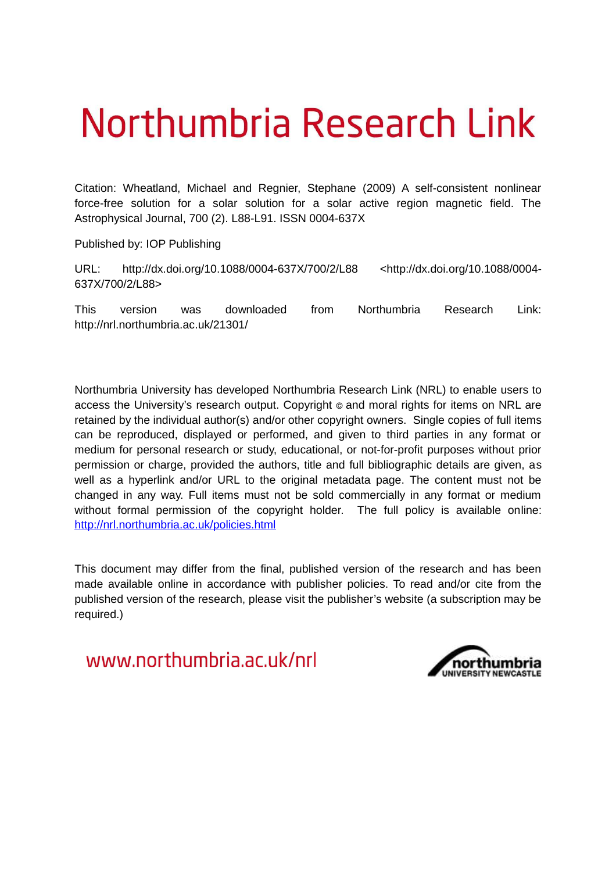# <span id="page-0-0"></span>Northumbria Research Link

Citation: Wheatland, Michael and Regnier, Stephane (2009) A self-consistent nonlinear force-free solution for a solar solution for a solar active region magnetic field. The Astrophysical Journal, 700 (2). L88-L91. ISSN 0004-637X

Published by: IOP Publishing

URL: http://dx.doi.org/10.1088/0004-637X/700/2/L88 <http://dx.doi.org/10.1088/0004- 637X/700/2/L88>

This version was downloaded from Northumbria Research Link: http://nrl.northumbria.ac.uk/21301/

Northumbria University has developed Northumbria Research Link (NRL) to enable users to access the University's research output. Copyright  $\circ$  and moral rights for items on NRL are retained by the individual author(s) and/or other copyright owners. Single copies of full items can be reproduced, displayed or performed, and given to third parties in any format or medium for personal research or study, educational, or not-for-profit purposes without prior permission or charge, provided the authors, title and full bibliographic details are given, as well as a hyperlink and/or URL to the original metadata page. The content must not be changed in any way. Full items must not be sold commercially in any format or medium without formal permission of the copyright holder. The full policy is available online: <http://nrl.northumbria.ac.uk/policies.html>

This document may differ from the final, published version of the research and has been made available online in accordance with publisher policies. To read and/or cite from the published version of the research, please visit the publisher's website (a subscription may be required.)

www.northumbria.ac.uk/nrl

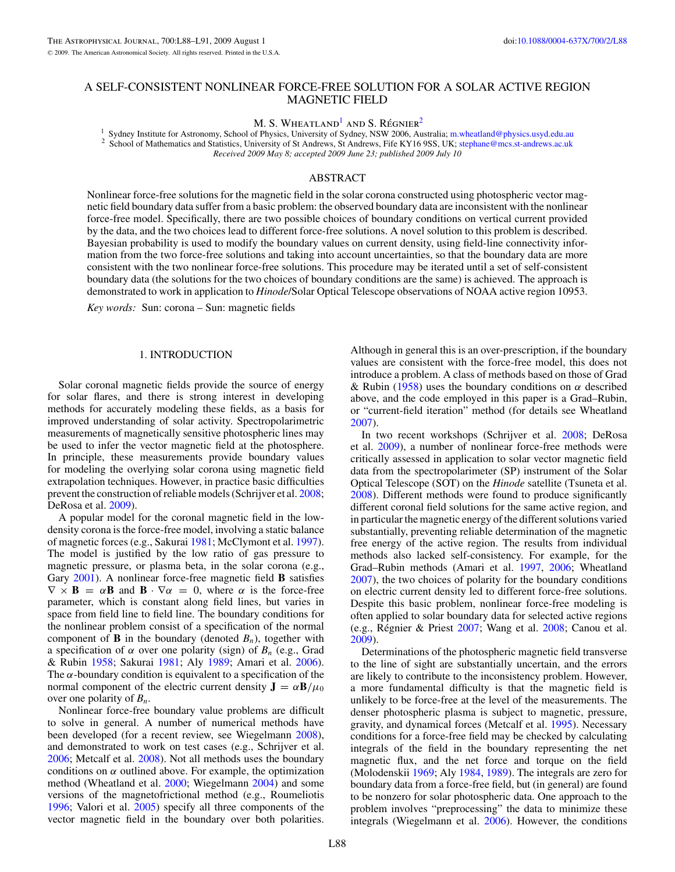# <span id="page-1-0"></span>A SELF-CONSISTENT NONLINEAR FORCE-FREE SOLUTION FOR A SOLAR ACTIVE REGION MAGNETIC FIELD

M. S. Wheatland<sup>1</sup> and S. Régnier<sup>2</sup>

<sup>1</sup> Sydney Institute for Astronomy, School of Physics, University of Sydney, NSW 2006, Australia; [m.wheatland@physics.usyd.edu.au](mailto:m.wheatland@physics.usyd.edu.au) <sup>2</sup> School of Mathematics and Statistics, University of St Andrews, St Andrews, Fife KY16 9SS, UK; [stephane@mcs.st-andrews.ac.uk](mailto:stephane@mcs.st-andrews.ac.uk)

*Received 2009 May 8; accepted 2009 June 23; published 2009 July 10*

#### ABSTRACT

Nonlinear force-free solutions for the magnetic field in the solar corona constructed using photospheric vector magnetic field boundary data suffer from a basic problem: the observed boundary data are inconsistent with the nonlinear force-free model. Specifically, there are two possible choices of boundary conditions on vertical current provided by the data, and the two choices lead to different force-free solutions. A novel solution to this problem is described. Bayesian probability is used to modify the boundary values on current density, using field-line connectivity information from the two force-free solutions and taking into account uncertainties, so that the boundary data are more consistent with the two nonlinear force-free solutions. This procedure may be iterated until a set of self-consistent boundary data (the solutions for the two choices of boundary conditions are the same) is achieved. The approach is demonstrated to work in application to *Hinode*/Solar Optical Telescope observations of NOAA active region 10953.

*Key words:* Sun: corona – Sun: magnetic fields

## 1. INTRODUCTION

Solar coronal magnetic fields provide the source of energy for solar flares, and there is strong interest in developing methods for accurately modeling these fields, as a basis for improved understanding of solar activity. Spectropolarimetric measurements of magnetically sensitive photospheric lines may be used to infer the vector magnetic field at the photosphere. In principle, these measurements provide boundary values for modeling the overlying solar corona using magnetic field extrapolation techniques. However, in practice basic difficulties prevent the construction of reliable models (Schrijver et al. [2008;](#page-3-0) DeRosa et al. [2009\)](#page-3-0).

A popular model for the coronal magnetic field in the lowdensity corona is the force-free model, involving a static balance of magnetic forces (e.g., Sakurai [1981;](#page-3-0) McClymont et al. [1997\)](#page-3-0). The model is justified by the low ratio of gas pressure to magnetic pressure, or plasma beta, in the solar corona (e.g., Gary [2001\)](#page-3-0). A nonlinear force-free magnetic field **B** satisfies  $\nabla \times \mathbf{B} = \alpha \mathbf{B}$  and  $\mathbf{B} \cdot \nabla \alpha = 0$ , where  $\alpha$  is the force-free parameter, which is constant along field lines, but varies in space from field line to field line. The boundary conditions for the nonlinear problem consist of a specification of the normal component of **B** in the boundary (denoted  $B_n$ ), together with a specification of  $\alpha$  over one polarity (sign) of  $B_n$  (e.g., Grad & Rubin [1958;](#page-3-0) Sakurai [1981;](#page-3-0) Aly [1989;](#page-3-0) Amari et al. [2006\)](#page-3-0). The  $\alpha$ -boundary condition is equivalent to a specification of the normal component of the electric current density  $J = \alpha B/\mu_0$ over one polarity of *Bn*.

Nonlinear force-free boundary value problems are difficult to solve in general. A number of numerical methods have been developed (for a recent review, see Wiegelmann [2008\)](#page-3-0), and demonstrated to work on test cases (e.g., Schrijver et al. [2006;](#page-3-0) Metcalf et al. [2008\)](#page-3-0). Not all methods uses the boundary conditions on  $\alpha$  outlined above. For example, the optimization method (Wheatland et al. [2000;](#page-3-0) Wiegelmann [2004\)](#page-3-0) and some versions of the magnetofrictional method (e.g., Roumeliotis [1996;](#page-3-0) Valori et al. [2005\)](#page-3-0) specify all three components of the vector magnetic field in the boundary over both polarities.

Although in general this is an over-prescription, if the boundary values are consistent with the force-free model, this does not introduce a problem. A class of methods based on those of Grad & Rubin [\(1958\)](#page-3-0) uses the boundary conditions on  $\alpha$  described above, and the code employed in this paper is a Grad–Rubin, or "current-field iteration" method (for details see Wheatland [2007\)](#page-3-0).

In two recent workshops (Schrijver et al. [2008;](#page-3-0) DeRosa et al. [2009\)](#page-3-0), a number of nonlinear force-free methods were critically assessed in application to solar vector magnetic field data from the spectropolarimeter (SP) instrument of the Solar Optical Telescope (SOT) on the *Hinode* satellite (Tsuneta et al. [2008\)](#page-3-0). Different methods were found to produce significantly different coronal field solutions for the same active region, and in particular the magnetic energy of the different solutions varied substantially, preventing reliable determination of the magnetic free energy of the active region. The results from individual methods also lacked self-consistency. For example, for the Grad–Rubin methods (Amari et al. [1997,](#page-3-0) [2006;](#page-3-0) Wheatland [2007\)](#page-3-0), the two choices of polarity for the boundary conditions on electric current density led to different force-free solutions. Despite this basic problem, nonlinear force-free modeling is often applied to solar boundary data for selected active regions (e.g., Régnier & Priest  $2007$ ; Wang et al.  $2008$ ; Canou et al. [2009\)](#page-3-0).

Determinations of the photospheric magnetic field transverse to the line of sight are substantially uncertain, and the errors are likely to contribute to the inconsistency problem. However, a more fundamental difficulty is that the magnetic field is unlikely to be force-free at the level of the measurements. The denser photospheric plasma is subject to magnetic, pressure, gravity, and dynamical forces (Metcalf et al. [1995\)](#page-3-0). Necessary conditions for a force-free field may be checked by calculating integrals of the field in the boundary representing the net magnetic flux, and the net force and torque on the field (Molodenskii [1969;](#page-3-0) Aly [1984,](#page-3-0) [1989\)](#page-3-0). The integrals are zero for boundary data from a force-free field, but (in general) are found to be nonzero for solar photospheric data. One approach to the problem involves "preprocessing" the data to minimize these integrals (Wiegelmann et al. [2006\)](#page-3-0). However, the conditions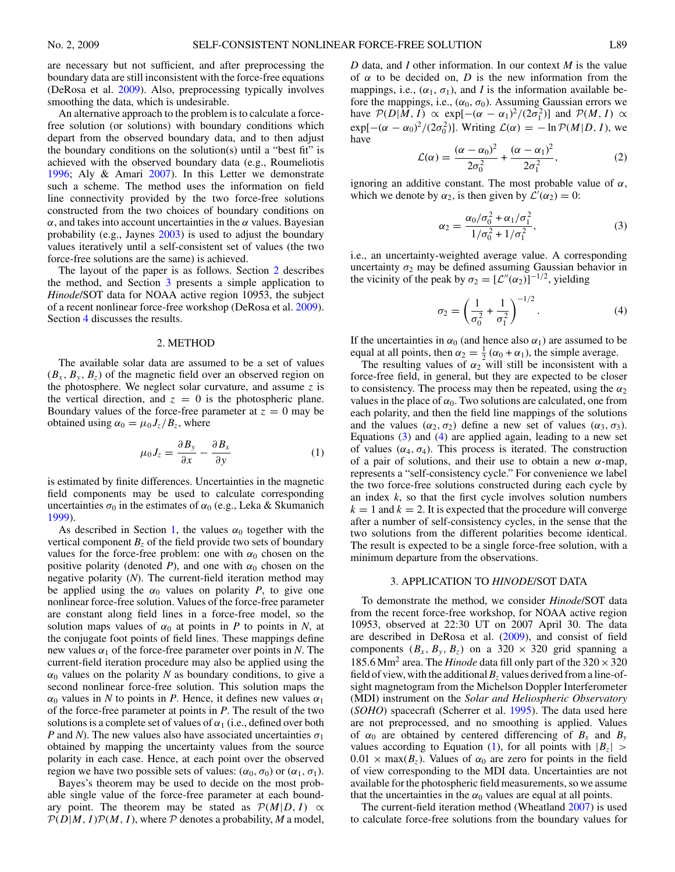<span id="page-2-0"></span>are necessary but not sufficient, and after preprocessing the boundary data are still inconsistent with the force-free equations (DeRosa et al. [2009\)](#page-3-0). Also, preprocessing typically involves smoothing the data, which is undesirable.

An alternative approach to the problem is to calculate a forcefree solution (or solutions) with boundary conditions which depart from the observed boundary data, and to then adjust the boundary conditions on the solution(s) until a "best fit" is achieved with the observed boundary data (e.g., Roumeliotis [1996;](#page-3-0) Aly & Amari [2007\)](#page-3-0). In this Letter we demonstrate such a scheme. The method uses the information on field line connectivity provided by the two force-free solutions constructed from the two choices of boundary conditions on  $\alpha$ , and takes into account uncertainties in the  $\alpha$  values. Bayesian probability (e.g., Jaynes [2003\)](#page-3-0) is used to adjust the boundary values iteratively until a self-consistent set of values (the two force-free solutions are the same) is achieved.

The layout of the paper is as follows. Section [2](#page-1-0) describes the method, and Section [3](#page-1-0) presents a simple application to *Hinode*/SOT data for NOAA active region 10953, the subject of a recent nonlinear force-free workshop (DeRosa et al. [2009\)](#page-3-0). Section [4](#page-3-0) discusses the results.

#### 2. METHOD

The available solar data are assumed to be a set of values  $(B_x, B_y, B_z)$  of the magnetic field over an observed region on the photosphere. We neglect solar curvature, and assume *z* is the vertical direction, and  $z = 0$  is the photospheric plane. Boundary values of the force-free parameter at  $z = 0$  may be obtained using  $\alpha_0 = \mu_0 J_z / B_z$ , where

$$
\mu_0 J_z = \frac{\partial B_y}{\partial x} - \frac{\partial B_x}{\partial y} \tag{1}
$$

is estimated by finite differences. Uncertainties in the magnetic field components may be used to calculate corresponding uncertainties  $\sigma_0$  in the estimates of  $\alpha_0$  (e.g., Leka & Skumanich [1999\)](#page-3-0).

As described in Section [1,](#page-0-0) the values  $\alpha_0$  together with the vertical component  $B_7$  of the field provide two sets of boundary values for the force-free problem: one with  $\alpha_0$  chosen on the positive polarity (denoted *P*), and one with  $\alpha_0$  chosen on the negative polarity (*N*). The current-field iteration method may be applied using the  $\alpha_0$  values on polarity *P*, to give one nonlinear force-free solution. Values of the force-free parameter are constant along field lines in a force-free model, so the solution maps values of  $\alpha_0$  at points in *P* to points in *N*, at the conjugate foot points of field lines. These mappings define new values  $\alpha_1$  of the force-free parameter over points in *N*. The current-field iteration procedure may also be applied using the  $\alpha_0$  values on the polarity *N* as boundary conditions, to give a second nonlinear force-free solution. This solution maps the  $\alpha_0$  values in *N* to points in *P*. Hence, it defines new values  $\alpha_1$ of the force-free parameter at points in *P*. The result of the two solutions is a complete set of values of  $\alpha_1$  (i.e., defined over both *P* and *N*). The new values also have associated uncertainties  $\sigma_1$ obtained by mapping the uncertainty values from the source polarity in each case. Hence, at each point over the observed region we have two possible sets of values:  $(\alpha_0, \sigma_0)$  or  $(\alpha_1, \sigma_1)$ .

Bayes's theorem may be used to decide on the most probable single value of the force-free parameter at each boundary point. The theorem may be stated as  $\mathcal{P}(M|D, I) \propto$  $P(D|M, I)P(M, I)$ , where P denotes a probability, M a model,

*D* data, and *I* other information. In our context *M* is the value of  $\alpha$  to be decided on,  $D$  is the new information from the mappings, i.e.,  $(\alpha_1, \sigma_1)$ , and *I* is the information available before the mappings, i.e.,  $(\alpha_0, \sigma_0)$ . Assuming Gaussian errors we have  $\mathcal{P}(D|M, I) \propto \exp[-(\alpha - \alpha_1)^2/(2\sigma_1^2)]$  and  $\mathcal{P}(M, I) \propto$  $\exp[-(\alpha - \alpha_0)^2/(2\sigma_0^2)]$ . Writing  $\mathcal{L}(\alpha) = -\ln \mathcal{P}(M|D, I)$ , we have

$$
\mathcal{L}(\alpha) = \frac{(\alpha - \alpha_0)^2}{2\sigma_0^2} + \frac{(\alpha - \alpha_1)^2}{2\sigma_1^2},\tag{2}
$$

ignoring an additive constant. The most probable value of  $\alpha$ , which we denote by  $\alpha_2$ , is then given by  $\mathcal{L}'(\alpha_2) = 0$ :

$$
\alpha_2 = \frac{\alpha_0/\sigma_0^2 + \alpha_1/\sigma_1^2}{1/\sigma_0^2 + 1/\sigma_1^2},
$$
\n(3)

i.e., an uncertainty-weighted average value. A corresponding uncertainty  $\sigma_2$  may be defined assuming Gaussian behavior in the vicinity of the peak by  $\sigma_2 = [\mathcal{L}''(\alpha_2)]^{-1/2}$ , yielding

$$
\sigma_2 = \left(\frac{1}{\sigma_0^2} + \frac{1}{\sigma_1^2}\right)^{-1/2}.\tag{4}
$$

If the uncertainties in  $\alpha_0$  (and hence also  $\alpha_1$ ) are assumed to be equal at all points, then  $\alpha_2 = \frac{1}{2} (\alpha_0 + \alpha_1)$ , the simple average.

The resulting values of  $\alpha_2$  will still be inconsistent with a force-free field, in general, but they are expected to be closer to consistency. The process may then be repeated, using the  $\alpha_2$ values in the place of  $\alpha_0$ . Two solutions are calculated, one from each polarity, and then the field line mappings of the solutions and the values  $(\alpha_2, \sigma_2)$  define a new set of values  $(\alpha_3, \sigma_3)$ . Equations  $(3)$  and  $(4)$  are applied again, leading to a new set of values  $(\alpha_4, \sigma_4)$ . This process is iterated. The construction of a pair of solutions, and their use to obtain a new  $\alpha$ -map, represents a "self-consistency cycle." For convenience we label the two force-free solutions constructed during each cycle by an index *k*, so that the first cycle involves solution numbers  $k = 1$  and  $k = 2$ . It is expected that the procedure will converge after a number of self-consistency cycles, in the sense that the two solutions from the different polarities become identical. The result is expected to be a single force-free solution, with a minimum departure from the observations.

### 3. APPLICATION TO *HINODE*/SOT DATA

To demonstrate the method, we consider *Hinode*/SOT data from the recent force-free workshop, for NOAA active region 10953, observed at 22:30 UT on 2007 April 30. The data are described in DeRosa et al. [\(2009\)](#page-3-0), and consist of field components  $(B_x, B_y, B_z)$  on a 320 × 320 grid spanning a 185.6 Mm<sup>2</sup> area. The *Hinode* data fill only part of the  $320 \times 320$ field of view, with the additional  $B_z$  values derived from a line-ofsight magnetogram from the Michelson Doppler Interferometer (MDI) instrument on the *Solar and Heliospheric Observatory* (*SOHO*) spacecraft (Scherrer et al. [1995\)](#page-3-0). The data used here are not preprocessed, and no smoothing is applied. Values of  $\alpha_0$  are obtained by centered differencing of  $B_x$  and  $B_y$ values according to Equation [\(1\)](#page-1-0), for all points with  $|B_z|$  >  $0.01 \times \max(B_z)$ . Values of  $\alpha_0$  are zero for points in the field of view corresponding to the MDI data. Uncertainties are not available for the photospheric field measurements, so we assume that the uncertainties in the  $\alpha_0$  values are equal at all points.

The current-field iteration method (Wheatland [2007\)](#page-3-0) is used to calculate force-free solutions from the boundary values for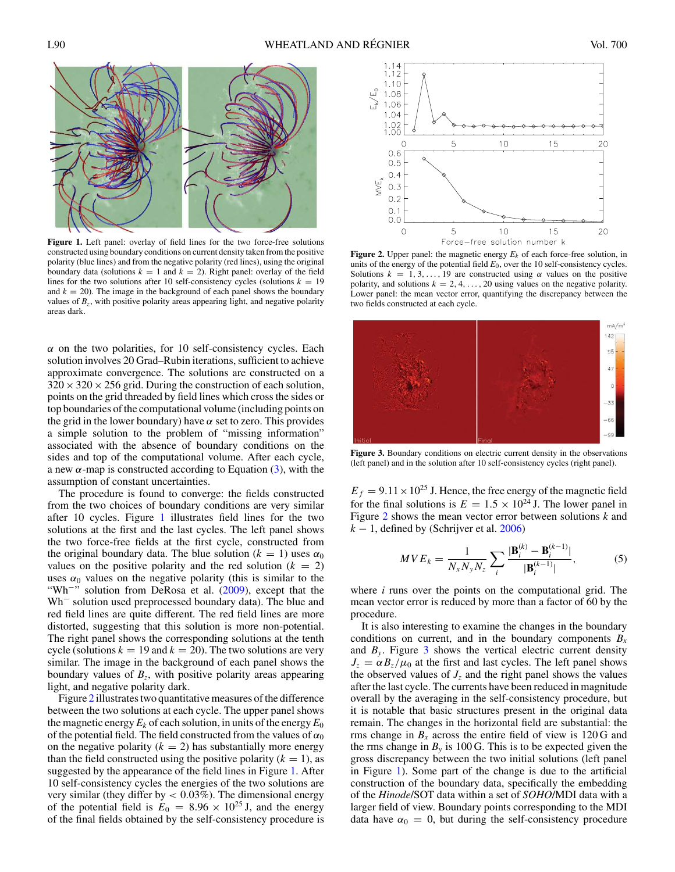<span id="page-3-0"></span>

**Figure 1.** Left panel: overlay of field lines for the two force-free solutions constructed using boundary conditions on current density taken from the positive polarity (blue lines) and from the negative polarity (red lines), using the original boundary data (solutions  $k = 1$  and  $k = 2$ ). Right panel: overlay of the field lines for the two solutions after 10 self-consistency cycles (solutions  $k = 19$ ) and  $k = 20$ ). The image in the background of each panel shows the boundary values of  $B_z$ , with positive polarity areas appearing light, and negative polarity areas dark.

 $\alpha$  on the two polarities, for 10 self-consistency cycles. Each solution involves 20 Grad–Rubin iterations, sufficient to achieve approximate convergence. The solutions are constructed on a  $320 \times 320 \times 256$  grid. During the construction of each solution, points on the grid threaded by field lines which cross the sides or top boundaries of the computational volume (including points on the grid in the lower boundary) have  $\alpha$  set to zero. This provides a simple solution to the problem of "missing information" associated with the absence of boundary conditions on the sides and top of the computational volume. After each cycle, a new  $\alpha$ -map is constructed according to Equation [\(3\)](#page-1-0), with the assumption of constant uncertainties.

The procedure is found to converge: the fields constructed from the two choices of boundary conditions are very similar after 10 cycles. Figure [1](#page-2-0) illustrates field lines for the two solutions at the first and the last cycles. The left panel shows the two force-free fields at the first cycle, constructed from the original boundary data. The blue solution ( $k = 1$ ) uses  $\alpha_0$ values on the positive polarity and the red solution  $(k = 2)$ uses  $\alpha_0$  values on the negative polarity (this is similar to the "Wh<sup>-"</sup> solution from DeRosa et al. (2009), except that the Wh<sup>−</sup> solution used preprocessed boundary data). The blue and red field lines are quite different. The red field lines are more distorted, suggesting that this solution is more non-potential. The right panel shows the corresponding solutions at the tenth cycle (solutions  $k = 19$  and  $k = 20$ ). The two solutions are very similar. The image in the background of each panel shows the boundary values of  $B_z$ , with positive polarity areas appearing light, and negative polarity dark.

Figure [2](#page-2-0) illustrates two quantitative measures of the difference between the two solutions at each cycle. The upper panel shows the magnetic energy  $E_k$  of each solution, in units of the energy  $E_0$ of the potential field. The field constructed from the values of  $\alpha_0$ on the negative polarity  $(k = 2)$  has substantially more energy than the field constructed using the positive polarity  $(k = 1)$ , as suggested by the appearance of the field lines in Figure [1.](#page-2-0) After 10 self-consistency cycles the energies of the two solutions are very similar (they differ by  $< 0.03\%$ ). The dimensional energy of the potential field is  $E_0 = 8.96 \times 10^{25}$  J, and the energy of the final fields obtained by the self-consistency procedure is



**Figure 2.** Upper panel: the magnetic energy  $E_k$  of each force-free solution, in units of the energy of the potential field *E*0, over the 10 self-consistency cycles. Solutions  $k = 1, 3, \ldots, 19$  are constructed using  $\alpha$  values on the positive polarity, and solutions  $k = 2, 4, \ldots, 20$  using values on the negative polarity. Lower panel: the mean vector error, quantifying the discrepancy between the two fields constructed at each cycle.



**Figure 3.** Boundary conditions on electric current density in the observations (left panel) and in the solution after 10 self-consistency cycles (right panel).

 $E_f = 9.11 \times 10^{25}$  J. Hence, the free energy of the magnetic field for the final solutions is  $E = 1.5 \times 10^{24}$  J. The lower panel in Figure [2](#page-2-0) shows the mean vector error between solutions *k* and  $k - 1$ , defined by (Schrijver et al. 2006)

$$
MVE_k = \frac{1}{N_x N_y N_z} \sum_{i} \frac{|\mathbf{B}_i^{(k)} - \mathbf{B}_i^{(k-1)}|}{|\mathbf{B}_i^{(k-1)}|},
$$
(5)

where *i* runs over the points on the computational grid. The mean vector error is reduced by more than a factor of 60 by the procedure.

It is also interesting to examine the changes in the boundary conditions on current, and in the boundary components  $B_x$ and  $B_y$ . Figure [3](#page-2-0) shows the vertical electric current density  $J_z = \alpha B_z / \mu_0$  at the first and last cycles. The left panel shows the observed values of  $J_z$  and the right panel shows the values after the last cycle. The currents have been reduced in magnitude overall by the averaging in the self-consistency procedure, but it is notable that basic structures present in the original data remain. The changes in the horizontal field are substantial: the rms change in  $B_x$  across the entire field of view is 120 G and the rms change in  $B_y$  is 100 G. This is to be expected given the gross discrepancy between the two initial solutions (left panel in Figure [1\)](#page-2-0). Some part of the change is due to the artificial construction of the boundary data, specifically the embedding of the *Hinode*/SOT data within a set of *SOHO*/MDI data with a larger field of view. Boundary points corresponding to the MDI data have  $\alpha_0 = 0$ , but during the self-consistency procedure